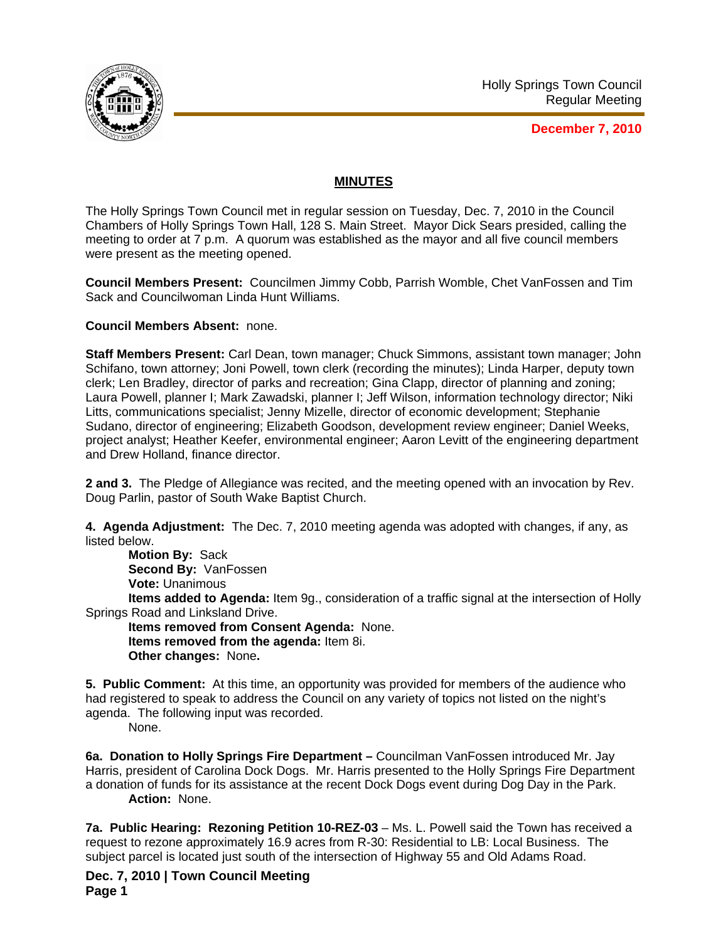

**December 7, 2010**

## **MINUTES**

The Holly Springs Town Council met in regular session on Tuesday, Dec. 7, 2010 in the Council Chambers of Holly Springs Town Hall, 128 S. Main Street. Mayor Dick Sears presided, calling the meeting to order at 7 p.m. A quorum was established as the mayor and all five council members were present as the meeting opened.

**Council Members Present:** Councilmen Jimmy Cobb, Parrish Womble, Chet VanFossen and Tim Sack and Councilwoman Linda Hunt Williams.

**Council Members Absent:** none.

**Staff Members Present:** Carl Dean, town manager; Chuck Simmons, assistant town manager; John Schifano, town attorney; Joni Powell, town clerk (recording the minutes); Linda Harper, deputy town clerk; Len Bradley, director of parks and recreation; Gina Clapp, director of planning and zoning; Laura Powell, planner I; Mark Zawadski, planner I; Jeff Wilson, information technology director; Niki Litts, communications specialist; Jenny Mizelle, director of economic development; Stephanie Sudano, director of engineering; Elizabeth Goodson, development review engineer; Daniel Weeks, project analyst; Heather Keefer, environmental engineer; Aaron Levitt of the engineering department and Drew Holland, finance director.

**2 and 3.** The Pledge of Allegiance was recited, and the meeting opened with an invocation by Rev. Doug Parlin, pastor of South Wake Baptist Church.

**4. Agenda Adjustment:** The Dec. 7, 2010 meeting agenda was adopted with changes, if any, as listed below.

**Motion By:** Sack **Second By:** VanFossen **Vote:** Unanimous

**Items added to Agenda:** Item 9g., consideration of a traffic signal at the intersection of Holly Springs Road and Linksland Drive.

**Items removed from Consent Agenda:** None. **Items removed from the agenda:** Item 8i. **Other changes:** None**.** 

**5. Public Comment:** At this time, an opportunity was provided for members of the audience who had registered to speak to address the Council on any variety of topics not listed on the night's agenda. The following input was recorded.

None.

**6a. Donation to Holly Springs Fire Department –** Councilman VanFossen introduced Mr. Jay Harris, president of Carolina Dock Dogs. Mr. Harris presented to the Holly Springs Fire Department a donation of funds for its assistance at the recent Dock Dogs event during Dog Day in the Park. **Action:** None.

**7a. Public Hearing: Rezoning Petition 10-REZ-03** – Ms. L. Powell said the Town has received a request to rezone approximately 16.9 acres from R-30: Residential to LB: Local Business. The subject parcel is located just south of the intersection of Highway 55 and Old Adams Road.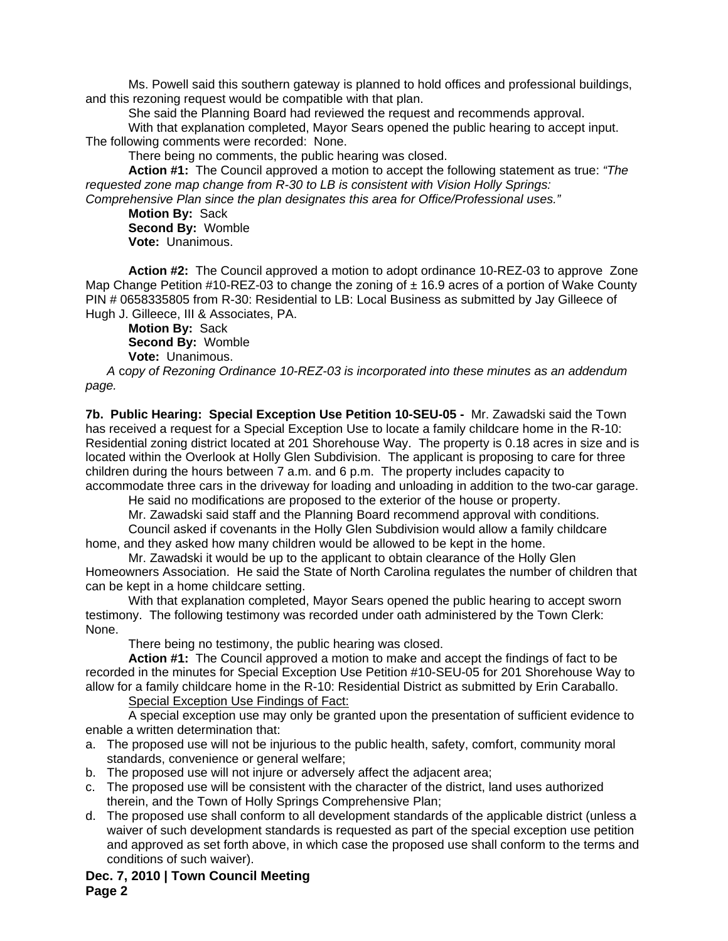Ms. Powell said this southern gateway is planned to hold offices and professional buildings, and this rezoning request would be compatible with that plan.

She said the Planning Board had reviewed the request and recommends approval.

With that explanation completed, Mayor Sears opened the public hearing to accept input. The following comments were recorded: None.

There being no comments, the public hearing was closed.

**Action #1:** The Council approved a motion to accept the following statement as true: *"The requested zone map change from R-30 to LB is consistent with Vision Holly Springs:* 

*Comprehensive Plan since the plan designates this area for Office/Professional uses."*

**Motion By:** Sack **Second By:** Womble **Vote:** Unanimous.

**Action #2:** The Council approved a motion to adopt ordinance 10-REZ-03 to approve Zone Map Change Petition  $\#10$ -REZ-03 to change the zoning of  $\pm 16.9$  acres of a portion of Wake County PIN # 0658335805 from R-30: Residential to LB: Local Business as submitted by Jay Gilleece of Hugh J. Gilleece, III & Associates, PA.

**Motion By:** Sack **Second By:** Womble **Vote:** Unanimous.

*A* c*opy of Rezoning Ordinance 10-REZ-03 is incorporated into these minutes as an addendum page.*

**7b. Public Hearing: Special Exception Use Petition 10-SEU-05 -** Mr. Zawadski said the Town has received a request for a Special Exception Use to locate a family childcare home in the R-10: Residential zoning district located at 201 Shorehouse Way. The property is 0.18 acres in size and is located within the Overlook at Holly Glen Subdivision. The applicant is proposing to care for three children during the hours between 7 a.m. and 6 p.m. The property includes capacity to accommodate three cars in the driveway for loading and unloading in addition to the two-car garage.

He said no modifications are proposed to the exterior of the house or property.

Mr. Zawadski said staff and the Planning Board recommend approval with conditions.

Council asked if covenants in the Holly Glen Subdivision would allow a family childcare home, and they asked how many children would be allowed to be kept in the home.

Mr. Zawadski it would be up to the applicant to obtain clearance of the Holly Glen Homeowners Association. He said the State of North Carolina regulates the number of children that can be kept in a home childcare setting.

With that explanation completed, Mayor Sears opened the public hearing to accept sworn testimony. The following testimony was recorded under oath administered by the Town Clerk: None.

There being no testimony, the public hearing was closed.

 **Action #1:** The Council approved a motion to make and accept the findings of fact to be recorded in the minutes for Special Exception Use Petition #10-SEU-05 for 201 Shorehouse Way to allow for a family childcare home in the R-10: Residential District as submitted by Erin Caraballo.

Special Exception Use Findings of Fact:

 A special exception use may only be granted upon the presentation of sufficient evidence to enable a written determination that:

- a. The proposed use will not be injurious to the public health, safety, comfort, community moral standards, convenience or general welfare;
- b. The proposed use will not injure or adversely affect the adjacent area;
- c. The proposed use will be consistent with the character of the district, land uses authorized therein, and the Town of Holly Springs Comprehensive Plan;
- d. The proposed use shall conform to all development standards of the applicable district (unless a waiver of such development standards is requested as part of the special exception use petition and approved as set forth above, in which case the proposed use shall conform to the terms and conditions of such waiver).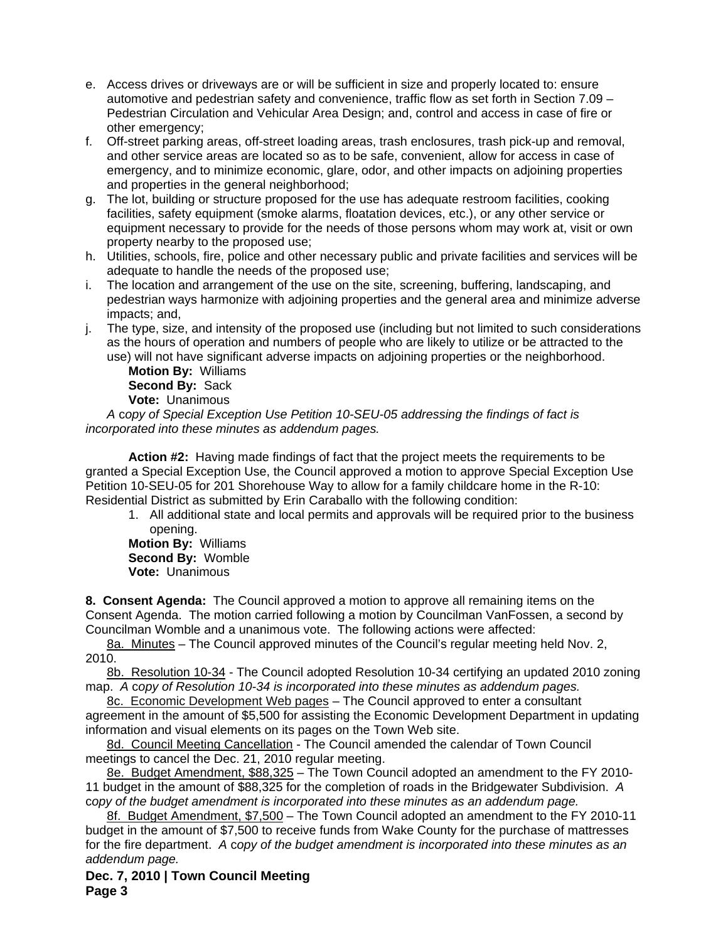- e. Access drives or driveways are or will be sufficient in size and properly located to: ensure automotive and pedestrian safety and convenience, traffic flow as set forth in Section 7.09 – Pedestrian Circulation and Vehicular Area Design; and, control and access in case of fire or other emergency;
- f. Off-street parking areas, off-street loading areas, trash enclosures, trash pick-up and removal, and other service areas are located so as to be safe, convenient, allow for access in case of emergency, and to minimize economic, glare, odor, and other impacts on adjoining properties and properties in the general neighborhood;
- g. The lot, building or structure proposed for the use has adequate restroom facilities, cooking facilities, safety equipment (smoke alarms, floatation devices, etc.), or any other service or equipment necessary to provide for the needs of those persons whom may work at, visit or own property nearby to the proposed use;
- h. Utilities, schools, fire, police and other necessary public and private facilities and services will be adequate to handle the needs of the proposed use;
- i. The location and arrangement of the use on the site, screening, buffering, landscaping, and pedestrian ways harmonize with adjoining properties and the general area and minimize adverse impacts; and,
- j. The type, size, and intensity of the proposed use (including but not limited to such considerations as the hours of operation and numbers of people who are likely to utilize or be attracted to the use) will not have significant adverse impacts on adjoining properties or the neighborhood.

**Motion By:** Williams **Second By:** Sack **Vote:** Unanimous

*A* c*opy of Special Exception Use Petition 10-SEU-05 addressing the findings of fact is incorporated into these minutes as addendum pages.* 

**Action #2:** Having made findings of fact that the project meets the requirements to be granted a Special Exception Use, the Council approved a motion to approve Special Exception Use Petition 10-SEU-05 for 201 Shorehouse Way to allow for a family childcare home in the R-10: Residential District as submitted by Erin Caraballo with the following condition:

1. All additional state and local permits and approvals will be required prior to the business opening.

**Motion By:** Williams **Second By:** Womble **Vote:** Unanimous

**8. Consent Agenda:** The Council approved a motion to approve all remaining items on the Consent Agenda. The motion carried following a motion by Councilman VanFossen, a second by Councilman Womble and a unanimous vote. The following actions were affected:

8a. Minutes – The Council approved minutes of the Council's regular meeting held Nov. 2, 2010.

8b. Resolution 10-34 - The Council adopted Resolution 10-34 certifying an updated 2010 zoning map. *A* c*opy of Resolution 10-34 is incorporated into these minutes as addendum pages.*

8c. Economic Development Web pages – The Council approved to enter a consultant agreement in the amount of \$5,500 for assisting the Economic Development Department in updating information and visual elements on its pages on the Town Web site.

8d. Council Meeting Cancellation - The Council amended the calendar of Town Council meetings to cancel the Dec. 21, 2010 regular meeting.

8e. Budget Amendment, \$88,325 – The Town Council adopted an amendment to the FY 2010- 11 budget in the amount of \$88,325 for the completion of roads in the Bridgewater Subdivision. *A*  c*opy of the budget amendment is incorporated into these minutes as an addendum page.*

8f. Budget Amendment, \$7,500 - The Town Council adopted an amendment to the FY 2010-11 budget in the amount of \$7,500 to receive funds from Wake County for the purchase of mattresses for the fire department. *A* c*opy of the budget amendment is incorporated into these minutes as an addendum page.*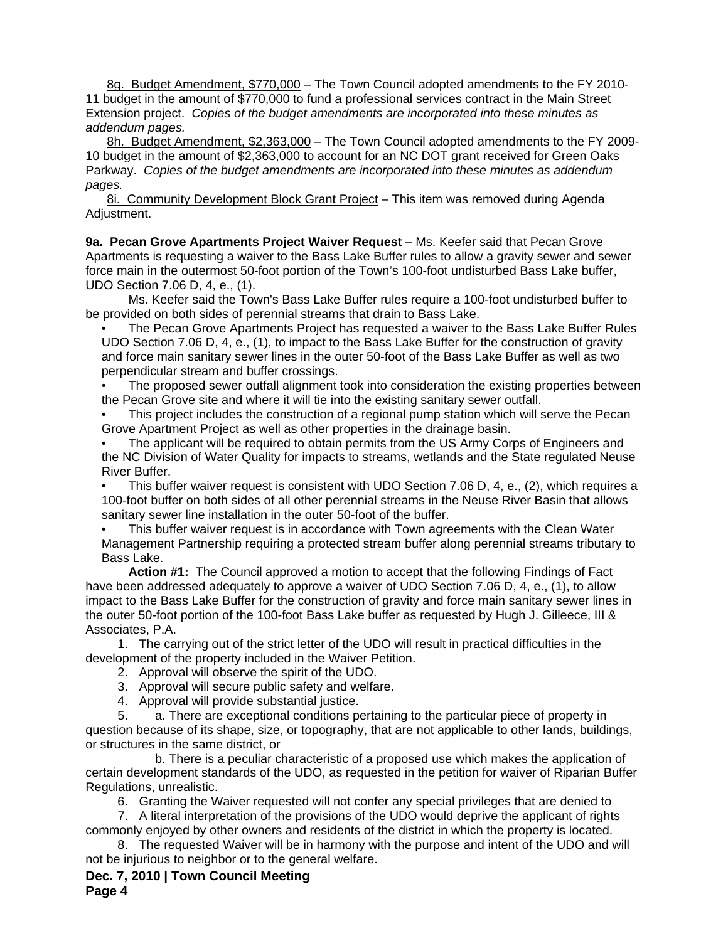8g. Budget Amendment, \$770,000 – The Town Council adopted amendments to the FY 2010- 11 budget in the amount of \$770,000 to fund a professional services contract in the Main Street Extension project. *Copies of the budget amendments are incorporated into these minutes as addendum pages.*

8h. Budget Amendment, \$2,363,000 – The Town Council adopted amendments to the FY 2009- 10 budget in the amount of \$2,363,000 to account for an NC DOT grant received for Green Oaks Parkway. *Copies of the budget amendments are incorporated into these minutes as addendum pages.*

8i. Community Development Block Grant Project – This item was removed during Agenda Adjustment.

9a. Pecan Grove Apartments Project Waiver Request - Ms. Keefer said that Pecan Grove Apartments is requesting a waiver to the Bass Lake Buffer rules to allow a gravity sewer and sewer force main in the outermost 50-foot portion of the Town's 100-foot undisturbed Bass Lake buffer, UDO Section 7.06 D, 4, e., (1).

 Ms. Keefer said the Town's Bass Lake Buffer rules require a 100-foot undisturbed buffer to be provided on both sides of perennial streams that drain to Bass Lake.

• The Pecan Grove Apartments Project has requested a waiver to the Bass Lake Buffer Rules UDO Section 7.06 D, 4, e., (1), to impact to the Bass Lake Buffer for the construction of gravity and force main sanitary sewer lines in the outer 50-foot of the Bass Lake Buffer as well as two perpendicular stream and buffer crossings.

• The proposed sewer outfall alignment took into consideration the existing properties between the Pecan Grove site and where it will tie into the existing sanitary sewer outfall.

• This project includes the construction of a regional pump station which will serve the Pecan Grove Apartment Project as well as other properties in the drainage basin.

• The applicant will be required to obtain permits from the US Army Corps of Engineers and the NC Division of Water Quality for impacts to streams, wetlands and the State regulated Neuse River Buffer.

• This buffer waiver request is consistent with UDO Section 7.06 D, 4, e., (2), which requires a 100-foot buffer on both sides of all other perennial streams in the Neuse River Basin that allows sanitary sewer line installation in the outer 50-foot of the buffer.

This buffer waiver request is in accordance with Town agreements with the Clean Water

Management Partnership requiring a protected stream buffer along perennial streams tributary to Bass Lake.

**Action #1:** The Council approved a motion to accept that the following Findings of Fact have been addressed adequately to approve a waiver of UDO Section 7.06 D, 4, e., (1), to allow impact to the Bass Lake Buffer for the construction of gravity and force main sanitary sewer lines in the outer 50-foot portion of the 100-foot Bass Lake buffer as requested by Hugh J. Gilleece, III & Associates, P.A.

1. The carrying out of the strict letter of the UDO will result in practical difficulties in the development of the property included in the Waiver Petition.

- 2. Approval will observe the spirit of the UDO.
- 3. Approval will secure public safety and welfare.
- 4. Approval will provide substantial justice.

5. a. There are exceptional conditions pertaining to the particular piece of property in question because of its shape, size, or topography, that are not applicable to other lands, buildings, or structures in the same district, or

 b. There is a peculiar characteristic of a proposed use which makes the application of certain development standards of the UDO, as requested in the petition for waiver of Riparian Buffer Regulations, unrealistic.

6. Granting the Waiver requested will not confer any special privileges that are denied to

7. A literal interpretation of the provisions of the UDO would deprive the applicant of rights commonly enjoyed by other owners and residents of the district in which the property is located.

8. The requested Waiver will be in harmony with the purpose and intent of the UDO and will not be injurious to neighbor or to the general welfare.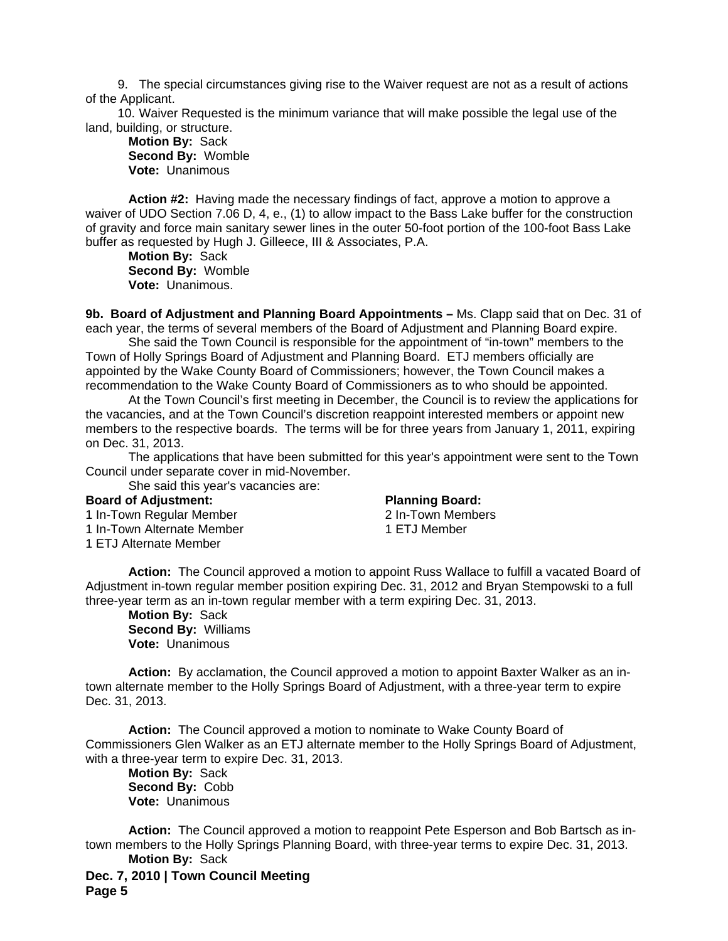9. The special circumstances giving rise to the Waiver request are not as a result of actions of the Applicant.

10. Waiver Requested is the minimum variance that will make possible the legal use of the land, building, or structure.

**Motion By:** Sack **Second By:** Womble **Vote:** Unanimous

**Action #2:** Having made the necessary findings of fact, approve a motion to approve a waiver of UDO Section 7.06 D, 4, e., (1) to allow impact to the Bass Lake buffer for the construction of gravity and force main sanitary sewer lines in the outer 50-foot portion of the 100-foot Bass Lake buffer as requested by Hugh J. Gilleece, III & Associates, P.A.

**Motion By:** Sack **Second By:** Womble **Vote:** Unanimous.

**9b. Board of Adjustment and Planning Board Appointments –** Ms. Clapp said that on Dec. 31 of each year, the terms of several members of the Board of Adjustment and Planning Board expire.

 She said the Town Council is responsible for the appointment of "in-town" members to the Town of Holly Springs Board of Adjustment and Planning Board. ETJ members officially are appointed by the Wake County Board of Commissioners; however, the Town Council makes a recommendation to the Wake County Board of Commissioners as to who should be appointed.

 At the Town Council's first meeting in December, the Council is to review the applications for the vacancies, and at the Town Council's discretion reappoint interested members or appoint new members to the respective boards. The terms will be for three years from January 1, 2011, expiring on Dec. 31, 2013.

 The applications that have been submitted for this year's appointment were sent to the Town Council under separate cover in mid-November.

She said this year's vacancies are:

## **Board of Adjustment:**

1 In-Town Regular Member 1 In-Town Alternate Member

1 ETJ Alternate Member

**Planning Board:** 

2 In-Town Members 1 ETJ Member

 **Action:** The Council approved a motion to appoint Russ Wallace to fulfill a vacated Board of Adjustment in-town regular member position expiring Dec. 31, 2012 and Bryan Stempowski to a full three-year term as an in-town regular member with a term expiring Dec. 31, 2013.

**Motion By:** Sack **Second By:** Williams **Vote:** Unanimous

**Action:** By acclamation, the Council approved a motion to appoint Baxter Walker as an intown alternate member to the Holly Springs Board of Adjustment, with a three-year term to expire Dec. 31, 2013.

**Action:** The Council approved a motion to nominate to Wake County Board of Commissioners Glen Walker as an ETJ alternate member to the Holly Springs Board of Adjustment, with a three-year term to expire Dec. 31, 2013.

 **Motion By:** Sack **Second By:** Cobb **Vote:** Unanimous

**Action:** The Council approved a motion to reappoint Pete Esperson and Bob Bartsch as intown members to the Holly Springs Planning Board, with three-year terms to expire Dec. 31, 2013.  **Motion By:** Sack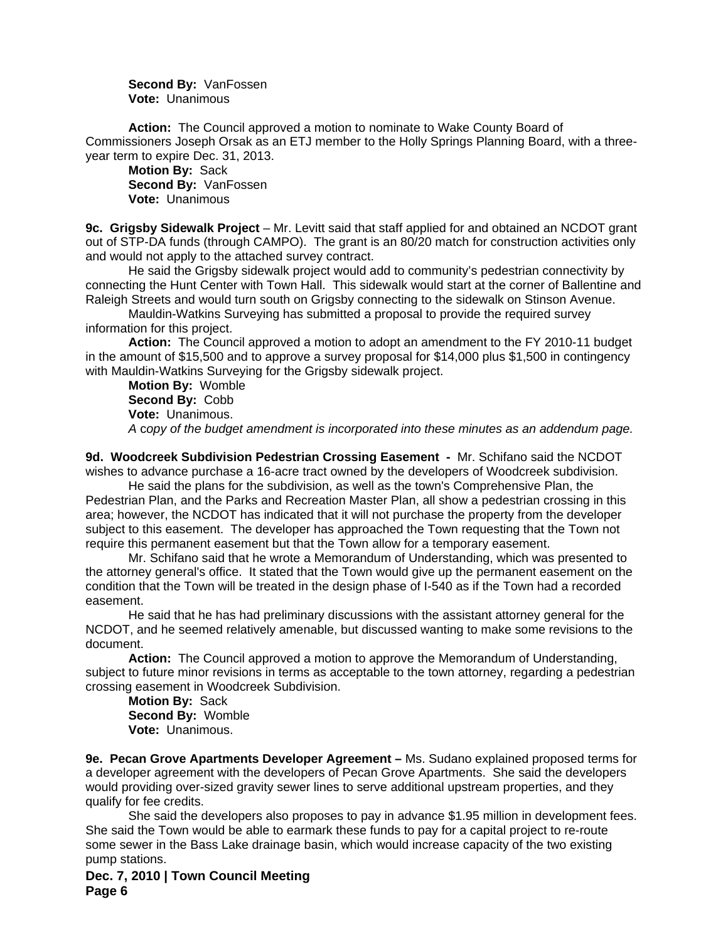**Second By:** VanFossen **Vote:** Unanimous

**Action:** The Council approved a motion to nominate to Wake County Board of Commissioners Joseph Orsak as an ETJ member to the Holly Springs Planning Board, with a threeyear term to expire Dec. 31, 2013.

 **Motion By:** Sack **Second By:** VanFossen **Vote:** Unanimous

**9c. Grigsby Sidewalk Project** *–* Mr. Levitt said that staff applied for and obtained an NCDOT grant out of STP-DA funds (through CAMPO). The grant is an 80/20 match for construction activities only and would not apply to the attached survey contract.

 He said the Grigsby sidewalk project would add to community's pedestrian connectivity by connecting the Hunt Center with Town Hall. This sidewalk would start at the corner of Ballentine and Raleigh Streets and would turn south on Grigsby connecting to the sidewalk on Stinson Avenue.

 Mauldin-Watkins Surveying has submitted a proposal to provide the required survey information for this project.

**Action:** The Council approved a motion to adopt an amendment to the FY 2010-11 budget in the amount of \$15,500 and to approve a survey proposal for \$14,000 plus \$1,500 in contingency with Mauldin-Watkins Surveying for the Grigsby sidewalk project.

**Motion By:** Womble **Second By:** Cobb **Vote:** Unanimous. *A* c*opy of the budget amendment is incorporated into these minutes as an addendum page.*

**9d. Woodcreek Subdivision Pedestrian Crossing Easement -** Mr. Schifano said the NCDOT wishes to advance purchase a 16-acre tract owned by the developers of Woodcreek subdivision.

 He said the plans for the subdivision, as well as the town's Comprehensive Plan, the Pedestrian Plan, and the Parks and Recreation Master Plan, all show a pedestrian crossing in this area; however, the NCDOT has indicated that it will not purchase the property from the developer subject to this easement. The developer has approached the Town requesting that the Town not require this permanent easement but that the Town allow for a temporary easement.

 Mr. Schifano said that he wrote a Memorandum of Understanding, which was presented to the attorney general's office. It stated that the Town would give up the permanent easement on the condition that the Town will be treated in the design phase of I-540 as if the Town had a recorded easement.

 He said that he has had preliminary discussions with the assistant attorney general for the NCDOT, and he seemed relatively amenable, but discussed wanting to make some revisions to the document.

**Action:** The Council approved a motion to approve the Memorandum of Understanding, subject to future minor revisions in terms as acceptable to the town attorney, regarding a pedestrian crossing easement in Woodcreek Subdivision.

**Motion By:** Sack **Second By:** Womble **Vote:** Unanimous.

**9e. Pecan Grove Apartments Developer Agreement –** Ms. Sudano explained proposed terms for a developer agreement with the developers of Pecan Grove Apartments. She said the developers would providing over-sized gravity sewer lines to serve additional upstream properties, and they qualify for fee credits.

 She said the developers also proposes to pay in advance \$1.95 million in development fees. She said the Town would be able to earmark these funds to pay for a capital project to re-route some sewer in the Bass Lake drainage basin, which would increase capacity of the two existing pump stations.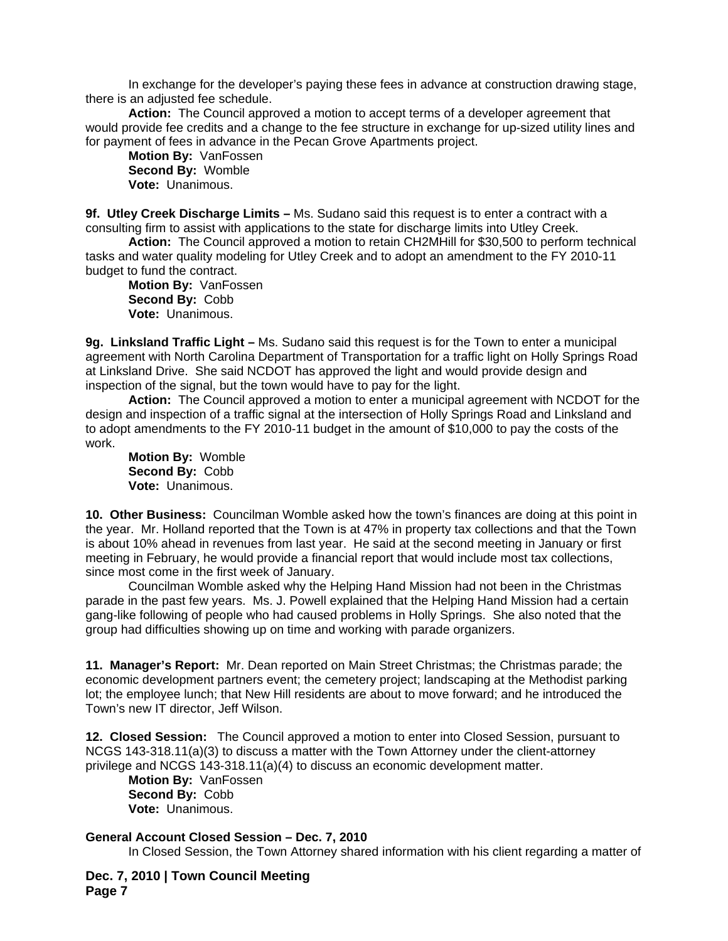In exchange for the developer's paying these fees in advance at construction drawing stage, there is an adjusted fee schedule.

**Action:** The Council approved a motion to accept terms of a developer agreement that would provide fee credits and a change to the fee structure in exchange for up-sized utility lines and for payment of fees in advance in the Pecan Grove Apartments project.

**Motion By:** VanFossen **Second By:** Womble **Vote:** Unanimous.

**9f. Utley Creek Discharge Limits –** Ms. Sudano said this request is to enter a contract with a consulting firm to assist with applications to the state for discharge limits into Utley Creek.

**Action:** The Council approved a motion to retain CH2MHill for \$30,500 to perform technical tasks and water quality modeling for Utley Creek and to adopt an amendment to the FY 2010-11 budget to fund the contract.

**Motion By:** VanFossen **Second By:** Cobb **Vote:** Unanimous.

**9g. Linksland Traffic Light –** Ms. Sudano said this request is for the Town to enter a municipal agreement with North Carolina Department of Transportation for a traffic light on Holly Springs Road at Linksland Drive. She said NCDOT has approved the light and would provide design and inspection of the signal, but the town would have to pay for the light.

**Action:** The Council approved a motion to enter a municipal agreement with NCDOT for the design and inspection of a traffic signal at the intersection of Holly Springs Road and Linksland and to adopt amendments to the FY 2010-11 budget in the amount of \$10,000 to pay the costs of the work.

**Motion By:** Womble **Second By:** Cobb **Vote:** Unanimous.

**10. Other Business:** Councilman Womble asked how the town's finances are doing at this point in the year. Mr. Holland reported that the Town is at 47% in property tax collections and that the Town is about 10% ahead in revenues from last year. He said at the second meeting in January or first meeting in February, he would provide a financial report that would include most tax collections, since most come in the first week of January.

 Councilman Womble asked why the Helping Hand Mission had not been in the Christmas parade in the past few years. Ms. J. Powell explained that the Helping Hand Mission had a certain gang-like following of people who had caused problems in Holly Springs. She also noted that the group had difficulties showing up on time and working with parade organizers.

**11. Manager's Report:** Mr. Dean reported on Main Street Christmas; the Christmas parade; the economic development partners event; the cemetery project; landscaping at the Methodist parking lot; the employee lunch; that New Hill residents are about to move forward; and he introduced the Town's new IT director, Jeff Wilson.

**12. Closed Session:** The Council approved a motion to enter into Closed Session, pursuant to NCGS 143-318.11(a)(3) to discuss a matter with the Town Attorney under the client-attorney privilege and NCGS 143-318.11(a)(4) to discuss an economic development matter.

**Motion By:** VanFossen **Second By:** Cobb **Vote:** Unanimous.

## **General Account Closed Session – Dec. 7, 2010**

In Closed Session, the Town Attorney shared information with his client regarding a matter of